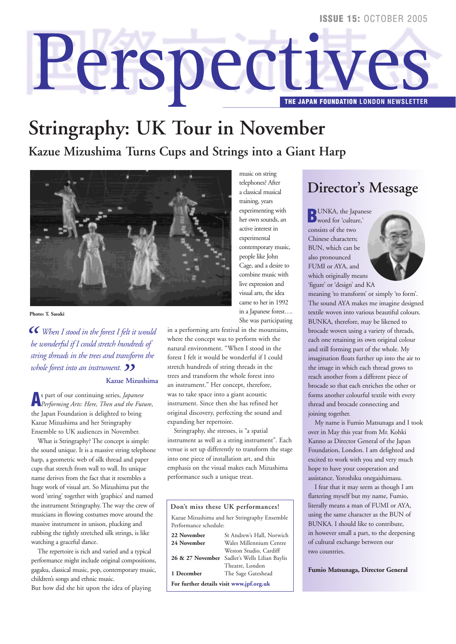#### **ISSUE 14:** OCTOBER 2005 **ISSUE 15:** OCTOBER 2005

# Perspectiv **THE JAPAN FOUNDATION LONDON NEWSLETTER**

## **Stringraphy: UK Tour in November**

**Kazue Mizushima Turns Cups and Strings into a Giant Harp**



**Photo: T. Sasaki**

 $\epsilon$  When I stood in the forest I felt it would<br>
be wonderful if I could stretch hundreds of<br> *string threads in the trees and transform the "*<br> **Kazue M**<br> **A** s part of our continuing series. *La be wonderful if I could stretch hundreds of string threads in the trees and transform the* **Kazue Mizushima** 

**A**s part of our continuing series, *Japanese Performing Arts: Here, Then and the Future*, the Japan Foundation is delighted to bring Kazue Mizushima and her Stringraphy Ensemble to UK audiences in November.

What is Stringraphy? The concept is simple: the sound unique. It is a massive string telephone harp, a geometric web of silk thread and paper cups that stretch from wall to wall. Its unique name derives from the fact that it resembles a huge work of visual art. So Mizushima put the word 'string' together with 'graphics' and named the instrument Stringraphy. The way the crew of musicians in flowing costumes move around the massive instrument in unison, plucking and rubbing the tightly stretched silk strings, is like watching a graceful dance.

The repertoire is rich and varied and a typical performance might include original compositions, gagaku, classical music, pop, contemporary music, children's songs and ethnic music. But how did she hit upon the idea of playing

music on string telephones? After a classical musical training, years experimenting with her own sounds, an active interest in experimental contemporary music, people like John Cage, and a desire to combine music with live expression and visual arts, the idea came to her in 1992 in a Japanese forest…. She was participating

in a performing arts festival in the mountains, where the concept was to perform with the natural environment. "When I stood in the forest I felt it would be wonderful if I could stretch hundreds of string threads in the trees and transform the whole forest into an instrument." Her concept, therefore, was to take space into a giant acoustic instrument. Since then she has refined her original discovery, perfecting the sound and expanding her repertoire.

Stringraphy, she stresses, is "a spatial instrument as well as a string instrument". Each venue is set up differently to transform the stage into one piece of installation art, and this emphasis on the visual makes each Mizushima performance such a unique treat.



## **Director's Message**

**B**UNKA, the Japanese word for 'culture,' consists of the two Chinese characters; BUN, which can be also pronounced FUMI or AYA, and which originally means 'figure' or 'design' and KA



meaning 'to transform' or simply 'to form'. The sound AYA makes me imagine designed textile woven into various beautiful colours. BUNKA, therefore, may be likened to brocade woven using a variety of threads, each one retaining its own original colour and still forming part of the whole. My imagination floats further up into the air to the image in which each thread grows to reach another from a different piece of brocade so that each enriches the other or forms another colourful textile with every thread and brocade connecting and joining together.

My name is Fumio Matsunaga and I took over in May this year from Mr. Kohki Kanno as Director General of the Japan Foundation, London. I am delighted and excited to work with you and very much hope to have your cooperation and assistance. Yoroshiku onegaishimasu.

I fear that it may seem as though I am flattering myself but my name, Fumio, literally means a man of FUMI or AYA, using the same character as the BUN of BUNKA. I should like to contribute, in however small a part, to the deepening of cultural exchange between our two countries.

**Fumio Matsunaga, Director General**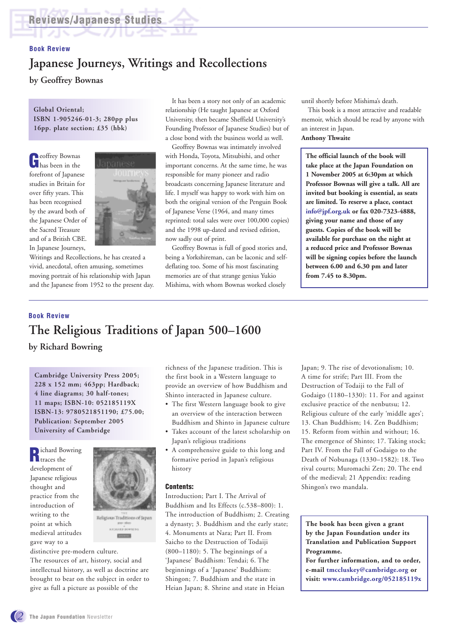## **Book Review Japanese Journeys, Writings and Recollections**

**by Geoffrey Bownas**

#### **Global Oriental; ISBN 1-905246-01-3; 280pp plus 16pp. plate section; £35 (hbk)**

**G**eoffrey Bownas has been in the forefront of Japanese studies in Britain for over fifty years. This has been recognised by the award both of the Japanese Order of the Sacred Treasure and of a British CBE. In Japanese Journeys,



Writings and Recollections, he has created a vivid, anecdotal, often amusing, sometimes moving portrait of his relationship with Japan and the Japanese from 1952 to the present day.

It has been a story not only of an academic relationship (He taught Japanese at Oxford University, then became Sheffield University's Founding Professor of Japanese Studies) but of a close bond with the business world as well.

Geoffrey Bownas was intimately involved with Honda, Toyota, Mitsubishi, and other important concerns. At the same time, he was responsible for many pioneer and radio broadcasts concerning Japanese literature and life. I myself was happy to work with him on both the original version of the Penguin Book of Japanese Verse (1964, and many times reprinted: total sales were over 100,000 copies) and the 1998 up-dated and revised edition, now sadly out of print.

Geoffrey Bownas is full of good stories and, being a Yorkshireman, can be laconic and selfdeflating too. Some of his most fascinating memories are of that strange genius Yukio Mishima, with whom Bownas worked closely

until shortly before Mishima's death.

This book is a most attractive and readable memoir, which should be read by anyone with an interest in Japan. **Anthony Thwaite**

#### **The official launch of the book will take place at the Japan Foundation on 1 November 2005 at 6:30pm at which Professor Bownas will give a talk. All are invited but booking is essential, as seats are limited. To reserve a place, contact info@jpf.org.uk or fax 020-7323-4888, giving your name and those of any guests. Copies of the book will be available for purchase on the night at a reduced price and Professor Bownas will be signing copies before the launch between 6.00 and 6.30 pm and later from 7.45 to 8.30pm.**

## **Book Review The Religious Traditions of Japan 500–1600**

**by Richard Bowring**

**Cambridge University Press 2005; 228 x 152 mm; 463pp; Hardback; 4 line diagrams; 30 half-tones; 11 maps; ISBN-10: 052185119X ISBN-13: 9780521851190; £75.00; Publication: September 2005 University of Cambridge**

**R**ichard Bowring development of Japanese religious thought and practice from the introduction of writing to the point at which medieval attitudes gave way to a



distinctive pre-modern culture.

The resources of art, history, social and intellectual history, as well as doctrine are brought to bear on the subject in order to give as full a picture as possible of the

richness of the Japanese tradition. This is the first book in a Western language to provide an overview of how Buddhism and Shinto interacted in Japanese culture.

- The first Western language book to give an overview of the interaction between Buddhism and Shinto in Japanese culture
- Takes account of the latest scholarship on Japan's religious traditions
- A comprehensive guide to this long and formative period in Japan's religious history

#### **Contents:**

Introduction; Part I. The Arrival of Buddhism and Its Effects (c.538–800): 1. The introduction of Buddhism; 2. Creating a dynasty; 3. Buddhism and the early state; 4. Monuments at Nara; Part II. From Saicho to the Destruction of Todaiji (800–1180): 5. The beginnings of a 'Japanese' Buddhism: Tendai; 6. The beginnings of a 'Japanese' Buddhism: Shingon; 7. Buddhism and the state in Heian Japan; 8. Shrine and state in Heian

Japan; 9. The rise of devotionalism; 10. A time for strife; Part III. From the Destruction of Todaiji to the Fall of Godaigo (1180–1330): 11. For and against exclusive practice of the nenbutsu; 12. Religious culture of the early 'middle ages'; 13. Chan Buddhism; 14. Zen Buddhism; 15. Reform from within and without; 16. The emergence of Shinto; 17. Taking stock; Part IV. From the Fall of Godaigo to the Death of Nobunaga (1330–1582): 18. Two rival courts; Muromachi Zen; 20. The end of the medieval; 21 Appendix: reading Shingon's two mandala.

**The book has been given a grant by the Japan Foundation under its Translation and Publication Support Programme.** 

**For further information, and to order, e-mail tmccluskey@cambridge.org or visit: www.cambridge.org/052185119x**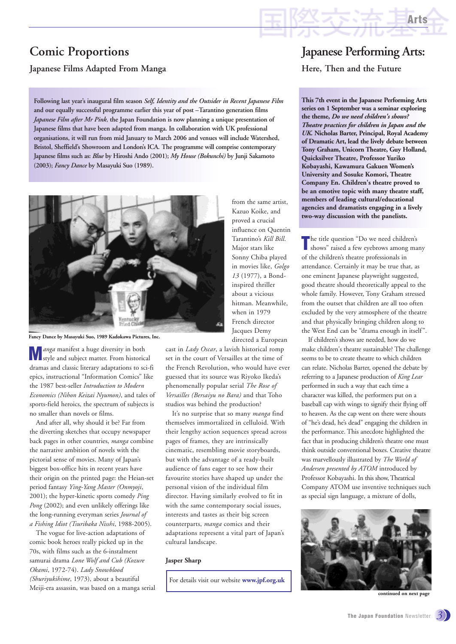#### **Japanese Films Adapted From Manga**

**Following last year's inaugural film season** *Self, Identity and the Outsider in Recent Japanese Film* **and our equally successful programme earlier this year of post –Tarantino generation films** *Japanese Film after Mr Pink*, **the Japan Foundation is now planning a unique presentation of Japanese films that have been adapted from manga. In collaboration with UK professional organisations, it will run from mid January to March 2006 and venues will include Watershed, Bristol, Sheffield's Showroom and London's ICA. The programme will comprise contemporary Japanese films such as:** *Blue* **by Hiroshi Ando (2001);** *My House (Bokunchi)* **by Junji Sakamoto (2003);** *Fancy Dance* **by Masayuki Suo (1989).**



**Fancy Dance by Masayuki Suo, 1989 Kadokawa Pictures, Inc.**

**M** *anga* manifest a huge diversity in both<br>
style and subject matter. From historical dramas and classic literary adaptations to sci-fi epics, instructional "Information Comics" like the 1987 best-seller *Introduction to Modern Economics (Nihon Keizai Nyumon)*, and tales of sports-field heroics, the spectrum of subjects is no smaller than novels or films.

And after all, why should it be? Far from the diverting sketches that occupy newspaper back pages in other countries, *manga* combine the narrative ambition of novels with the pictorial sense of movies. Many of Japan's biggest box-office hits in recent years have their origin on the printed page: the Heian-set period fantasy *Ying-Yang Master (Onmyoji*, 2001); the hyper-kinetic sports comedy *Ping Pong* (2002); and even unlikely offerings like the long-running everyman series *Journal of a Fishing Idiot (Tsuribaka Nisshi*, 1988-2005).

The vogue for live-action adaptations of comic book heroes really picked up in the 70s, with films such as the 6-instalment samurai drama *Lone Wolf and Cub (Kozure Okami*, 1972-74). *Lady Snowblood (Shuriyukihime*, 1973), about a beautiful Meiji-era assassin, was based on a manga serial **continued on next page of the continued on next page of next page** 

from the same artist, Kazuo Koike, and proved a crucial influence on Quentin Tarantino's *Kill Bill*. Major stars like Sonny Chiba played in movies like, *Golgo 13* (1977), a Bondinspired thriller about a vicious hitman. Meanwhile, when in 1979 French director Jacques Demy directed a European

cast in *Lady Oscar*, a lavish historical romp set in the court of Versailles at the time of the French Revolution, who would have ever guessed that its source was Riyoko Ikeda's phenomenally popular serial *The Rose of Versailles (Bersaiyu no Bara)* and that Toho studios was behind the production?

It's no surprise that so many *manga* find themselves immortalized in celluloid. With their lengthy action sequences spread across pages of frames, they are intrinsically cinematic, resembling movie storyboards, but with the advantage of a ready-built audience of fans eager to see how their favourite stories have shaped up under the personal vision of the individual film director. Having similarly evolved to fit in with the same contemporary social issues, interests and tastes as their big screen counterparts, *manga* comics and their adaptations represent a vital part of Japan's cultural landscape.

#### **Jasper Sharp**

For details visit our website **www.jpf.org.uk**

## **Japanese Performing Arts: Here, Then and the Future**

**Arts**

**This 7th event in the Japanese Performing Arts series on 1 September was a seminar exploring the theme,** *Do we need children's shows? Theatre practices for children in Japan and the UK.* **Nicholas Barter, Principal, Royal Academy of Dramatic Art, lead the lively debate between Tony Graham, Unicorn Theatre, Guy Holland, Quicksilver Theatre, Professor Yuriko Kobayashi, Kawamura Gakuen Women's University and Sosuke Komori, Theatre Company En. Children's theatre proved to be an emotive topic with many theatre staff, members of leading cultural/educational agencies and dramatists engaging in a lively two-way discussion with the panelists.**

The title question "Do we need children's shows" raised a few eyebrows among ma shows" raised a few eyebrows among many of the children's theatre professionals in attendance. Certainly it may be true that, as one eminent Japanese playwright suggested, good theatre should theoretically appeal to the whole family. However, Tony Graham stressed from the outset that children are all too often excluded by the very atmosphere of the theatre and that physically bringing children along to the West End can be "drama enough in itself".

If children's shows are needed, how do we make children's theatre sustainable? The challenge seems to be to create theatre to which children can relate. Nicholas Barter, opened the debate by referring to a Japanese production of *King Lear* performed in such a way that each time a character was killed, the performers put on a baseball cap with wings to signify their flying off to heaven. As the cap went on there were shouts of "he's dead, he's dead" engaging the children in the performance. This anecdote highlighted the fact that in producing children's theatre one must think outside conventional boxes. Creative theatre was marvellously illustrated by *The World of Andersen presented by ATOM* introduced by Professor Kobayashi. In this show, Theatrical Company ATOM use inventive techniques such as special sign language, a mixture of dolls,